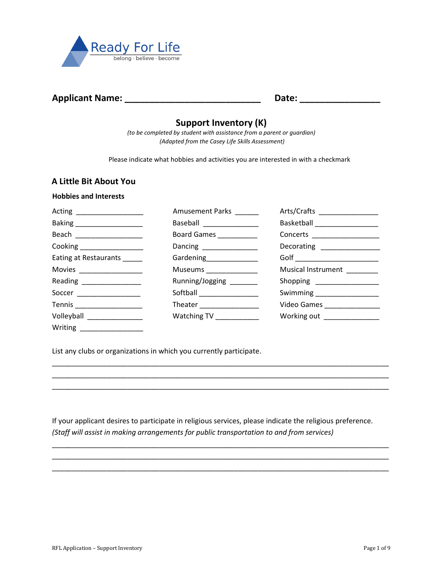

# **Applicant Name: \_\_\_\_\_\_\_\_\_\_\_\_\_\_\_\_\_\_\_\_\_\_\_\_\_\_\_ Date: \_\_\_\_\_\_\_\_\_\_\_\_\_\_\_\_**

# **Support Inventory (K)**

*(to be completed by student with assistance from a parent or guardian) (Adapted from the Casey Life Skills Assessment)*

Please indicate what hobbies and activities you are interested in with a checkmark

## **A Little Bit About You**

#### **Hobbies and Interests**

|                              | Amusement Parks           | Arts/Crafts _________________    |
|------------------------------|---------------------------|----------------------------------|
|                              | Baseball _______________  | Basketball _____________________ |
|                              | Board Games ___________   | Concerts ____________________    |
| Cooking ___________________  | Dancing _________________ | Decorating _______________       |
| Eating at Restaurants _____  | Gardening________________ | Golf _________________________   |
| Movies ___________________   | Museums _______________   | Musical Instrument ______        |
| Reading ________________     | Running/Jogging _______   | Shopping _________________       |
| Soccer ________________      | Softball _______________  | Swimming ____________________    |
| Tennis _____________________ | Theater ________________  | Video Games ________________     |
| Volleyball _________________ | Watching TV ____________  | Working out ______________       |
| Writing ________________     |                           |                                  |

List any clubs or organizations in which you currently participate.

If your applicant desires to participate in religious services, please indicate the religious preference. *(Staff will assist in making arrangements for public transportation to and from services)*

\_\_\_\_\_\_\_\_\_\_\_\_\_\_\_\_\_\_\_\_\_\_\_\_\_\_\_\_\_\_\_\_\_\_\_\_\_\_\_\_\_\_\_\_\_\_\_\_\_\_\_\_\_\_\_\_\_\_\_\_\_\_\_\_\_\_\_\_\_\_\_\_\_\_\_\_\_\_\_\_\_\_\_\_\_ \_\_\_\_\_\_\_\_\_\_\_\_\_\_\_\_\_\_\_\_\_\_\_\_\_\_\_\_\_\_\_\_\_\_\_\_\_\_\_\_\_\_\_\_\_\_\_\_\_\_\_\_\_\_\_\_\_\_\_\_\_\_\_\_\_\_\_\_\_\_\_\_\_\_\_\_\_\_\_\_\_\_\_\_\_ \_\_\_\_\_\_\_\_\_\_\_\_\_\_\_\_\_\_\_\_\_\_\_\_\_\_\_\_\_\_\_\_\_\_\_\_\_\_\_\_\_\_\_\_\_\_\_\_\_\_\_\_\_\_\_\_\_\_\_\_\_\_\_\_\_\_\_\_\_\_\_\_\_\_\_\_\_\_\_\_\_\_\_\_\_

\_\_\_\_\_\_\_\_\_\_\_\_\_\_\_\_\_\_\_\_\_\_\_\_\_\_\_\_\_\_\_\_\_\_\_\_\_\_\_\_\_\_\_\_\_\_\_\_\_\_\_\_\_\_\_\_\_\_\_\_\_\_\_\_\_\_\_\_\_\_\_\_\_\_\_\_\_\_\_\_\_\_\_\_\_ \_\_\_\_\_\_\_\_\_\_\_\_\_\_\_\_\_\_\_\_\_\_\_\_\_\_\_\_\_\_\_\_\_\_\_\_\_\_\_\_\_\_\_\_\_\_\_\_\_\_\_\_\_\_\_\_\_\_\_\_\_\_\_\_\_\_\_\_\_\_\_\_\_\_\_\_\_\_\_\_\_\_\_\_\_ \_\_\_\_\_\_\_\_\_\_\_\_\_\_\_\_\_\_\_\_\_\_\_\_\_\_\_\_\_\_\_\_\_\_\_\_\_\_\_\_\_\_\_\_\_\_\_\_\_\_\_\_\_\_\_\_\_\_\_\_\_\_\_\_\_\_\_\_\_\_\_\_\_\_\_\_\_\_\_\_\_\_\_\_\_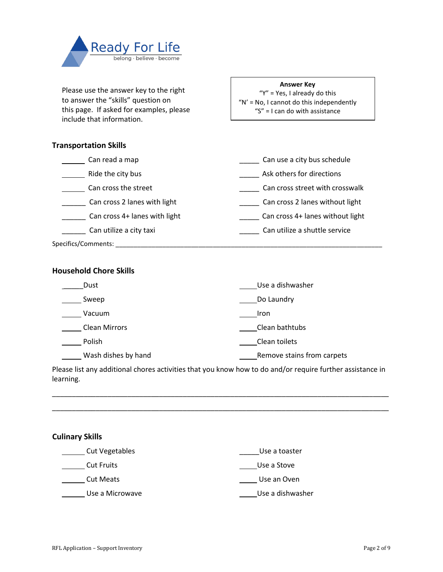

Please use the answer key to the right to answer the "skills" question on this page. If asked for examples, please include that information.

#### **Answer Key**

"Y" = Yes, I already do this " $N'$  = No, I cannot do this independently "S" = I can do with assistance

## **Transportation Skills**

| Can read a map                | Can use a city bus schedule      |
|-------------------------------|----------------------------------|
| Ride the city bus             | Ask others for directions        |
| Can cross the street          | Can cross street with crosswalk  |
| Can cross 2 lanes with light  | Can cross 2 lanes without light  |
| Can cross 4+ lanes with light | Can cross 4+ lanes without light |
| Can utilize a city taxi       | Can utilize a shuttle service    |
| Specifics/Comments:           |                                  |

## **Household Chore Skills**

| Dust                 | Use a dishwasher           |
|----------------------|----------------------------|
| Sweep                | Do Laundry                 |
| Vacuum               | <b>Iron</b>                |
| <b>Clean Mirrors</b> | Clean bathtubs             |
| Polish               | Clean toilets              |
| Wash dishes by hand  | Remove stains from carpets |

Please list any additional chores activities that you know how to do and/or require further assistance in learning.

\_\_\_\_\_\_\_\_\_\_\_\_\_\_\_\_\_\_\_\_\_\_\_\_\_\_\_\_\_\_\_\_\_\_\_\_\_\_\_\_\_\_\_\_\_\_\_\_\_\_\_\_\_\_\_\_\_\_\_\_\_\_\_\_\_\_\_\_\_\_\_\_\_\_\_\_\_\_\_\_\_\_\_\_\_ \_\_\_\_\_\_\_\_\_\_\_\_\_\_\_\_\_\_\_\_\_\_\_\_\_\_\_\_\_\_\_\_\_\_\_\_\_\_\_\_\_\_\_\_\_\_\_\_\_\_\_\_\_\_\_\_\_\_\_\_\_\_\_\_\_\_\_\_\_\_\_\_\_\_\_\_\_\_\_\_\_\_\_\_\_

## **Culinary Skills**

| Cut Vegetables    | Use a toaster    |
|-------------------|------------------|
| <b>Cut Fruits</b> | Use a Stove      |
| <b>Cut Meats</b>  | Use an Oven      |
| Use a Microwave   | Use a dishwasher |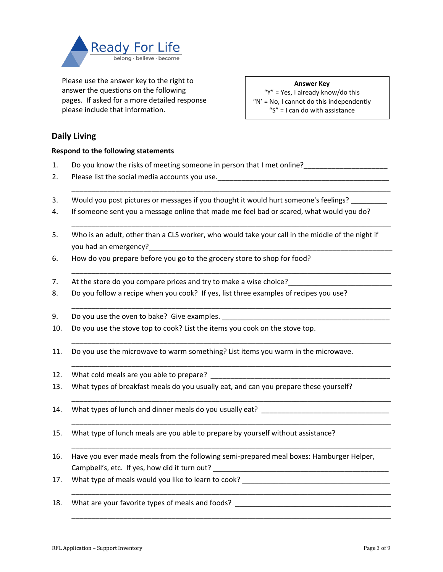

Please use the answer key to the right to answer the questions on the following pages. If asked for a more detailed response please include that information.

**Answer Key** "Y" = Yes, I already know/do this " $N'$  = No, I cannot do this independently "S" = I can do with assistance

## **Daily Living**

## **Respond to the following statements**

- 1. Do you know the risks of meeting someone in person that I met online?
- 2. Please list the social media accounts you use.\_\_\_\_\_\_\_\_\_\_\_\_\_\_\_\_\_\_\_\_\_\_\_\_\_\_\_\_\_\_\_\_\_\_\_\_\_\_\_\_\_\_\_
- 3. Would you post pictures or messages if you thought it would hurt someone's feelings?
- 4. If someone sent you a message online that made me feel bad or scared, what would you do?

\_\_\_\_\_\_\_\_\_\_\_\_\_\_\_\_\_\_\_\_\_\_\_\_\_\_\_\_\_\_\_\_\_\_\_\_\_\_\_\_\_\_\_\_\_\_\_\_\_\_\_\_\_\_\_\_\_\_\_\_\_\_\_\_\_\_\_\_\_\_\_\_\_\_\_\_\_\_\_\_

\_\_\_\_\_\_\_\_\_\_\_\_\_\_\_\_\_\_\_\_\_\_\_\_\_\_\_\_\_\_\_\_\_\_\_\_\_\_\_\_\_\_\_\_\_\_\_\_\_\_\_\_\_\_\_\_\_\_\_\_\_\_\_\_\_\_\_\_\_\_\_\_\_\_\_\_\_\_\_\_

\_\_\_\_\_\_\_\_\_\_\_\_\_\_\_\_\_\_\_\_\_\_\_\_\_\_\_\_\_\_\_\_\_\_\_\_\_\_\_\_\_\_\_\_\_\_\_\_\_\_\_\_\_\_\_\_\_\_\_\_\_\_\_\_\_\_\_\_\_\_\_\_\_\_\_\_\_\_\_\_

\_\_\_\_\_\_\_\_\_\_\_\_\_\_\_\_\_\_\_\_\_\_\_\_\_\_\_\_\_\_\_\_\_\_\_\_\_\_\_\_\_\_\_\_\_\_\_\_\_\_\_\_\_\_\_\_\_\_\_\_\_\_\_\_\_\_\_\_\_\_\_\_\_\_\_\_\_\_\_\_

\_\_\_\_\_\_\_\_\_\_\_\_\_\_\_\_\_\_\_\_\_\_\_\_\_\_\_\_\_\_\_\_\_\_\_\_\_\_\_\_\_\_\_\_\_\_\_\_\_\_\_\_\_\_\_\_\_\_\_\_\_\_\_\_\_\_\_\_\_\_\_\_\_\_\_\_\_\_\_\_

\_\_\_\_\_\_\_\_\_\_\_\_\_\_\_\_\_\_\_\_\_\_\_\_\_\_\_\_\_\_\_\_\_\_\_\_\_\_\_\_\_\_\_\_\_\_\_\_\_\_\_\_\_\_\_\_\_\_\_\_\_\_\_\_\_\_\_\_\_\_\_\_\_\_\_\_\_\_\_\_

\_\_\_\_\_\_\_\_\_\_\_\_\_\_\_\_\_\_\_\_\_\_\_\_\_\_\_\_\_\_\_\_\_\_\_\_\_\_\_\_\_\_\_\_\_\_\_\_\_\_\_\_\_\_\_\_\_\_\_\_\_\_\_\_\_\_\_\_\_\_\_\_\_\_\_\_\_\_\_\_

\_\_\_\_\_\_\_\_\_\_\_\_\_\_\_\_\_\_\_\_\_\_\_\_\_\_\_\_\_\_\_\_\_\_\_\_\_\_\_\_\_\_\_\_\_\_\_\_\_\_\_\_\_\_\_\_\_\_\_\_\_\_\_\_\_\_\_\_\_\_\_\_\_\_\_\_\_\_\_\_

\_\_\_\_\_\_\_\_\_\_\_\_\_\_\_\_\_\_\_\_\_\_\_\_\_\_\_\_\_\_\_\_\_\_\_\_\_\_\_\_\_\_\_\_\_\_\_\_\_\_\_\_\_\_\_\_\_\_\_\_\_\_\_\_\_\_\_\_\_\_\_\_\_\_\_\_\_\_\_\_

\_\_\_\_\_\_\_\_\_\_\_\_\_\_\_\_\_\_\_\_\_\_\_\_\_\_\_\_\_\_\_\_\_\_\_\_\_\_\_\_\_\_\_\_\_\_\_\_\_\_\_\_\_\_\_\_\_\_\_\_\_\_\_\_\_\_\_\_\_\_\_\_\_\_\_\_\_\_\_\_

- 5. Who is an adult, other than a CLS worker, who would take your call in the middle of the night if you had an emergency? The same state of the same state of the same state of the same state of the same state o
- 6. How do you prepare before you go to the grocery store to shop for food?
- 7. At the store do you compare prices and try to make a wise choice?
- 8. Do you follow a recipe when you cook? If yes, list three examples of recipes you use?
- 9. Do you use the oven to bake? Give examples.
- 10. Do you use the stove top to cook? List the items you cook on the stove top.
- 11. Do you use the microwave to warm something? List items you warm in the microwave.
- 12. What cold meals are you able to prepare? \_\_\_\_\_\_\_\_\_\_\_\_\_\_\_\_\_\_\_\_\_\_\_\_\_\_\_\_\_\_\_\_\_\_\_
- 13. What types of breakfast meals do you usually eat, and can you prepare these yourself?
- 14. What types of lunch and dinner meals do you usually eat?
- 15. What type of lunch meals are you able to prepare by yourself without assistance?
- 16. Have you ever made meals from the following semi-prepared meal boxes: Hamburger Helper, Campbell's, etc. If yes, how did it turn out? \_\_\_\_\_\_\_\_\_\_\_\_\_\_\_\_\_\_\_\_\_\_\_\_\_\_\_\_\_\_\_\_\_\_\_
- 17. What type of meals would you like to learn to cook?
- 18. What are your favorite types of meals and foods? \_\_\_\_\_\_\_\_\_\_\_\_\_\_\_\_\_\_\_\_\_\_\_\_\_\_\_\_\_\_\_\_\_\_\_\_\_\_\_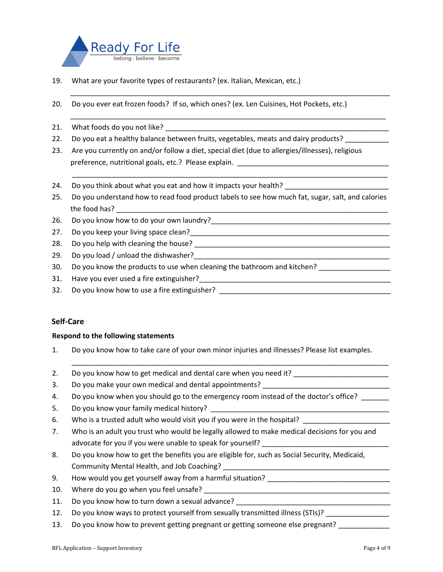

- 19. What are your favorite types of restaurants? (ex. Italian, Mexican, etc.)
- 20. Do you ever eat frozen foods? If so, which ones? (ex. Len Cuisines, Hot Pockets, etc.)
- 21. What foods do you not like?
- 22. Do you eat a healthy balance between fruits, vegetables, meats and dairy products?
- 23. Are you currently on and/or follow a diet, special diet (due to allergies/illnesses), religious preference, nutritional goals, etc.? Please explain. \_\_\_\_\_\_\_\_\_\_\_\_\_\_\_\_\_\_\_\_\_\_\_\_\_\_\_\_\_\_\_\_\_\_\_\_\_\_
- 24. Do you think about what you eat and how it impacts your health?
- 25. Do you understand how to read food product labels to see how much fat, sugar, salt, and calories the food has?

\_\_\_\_\_\_\_\_\_\_\_\_\_\_\_\_\_\_\_\_\_\_\_\_\_\_\_\_\_\_\_\_\_\_\_\_\_\_\_\_\_\_\_\_\_\_\_\_\_\_\_\_\_\_\_\_\_\_\_\_\_\_\_\_\_\_\_\_\_\_\_\_\_\_\_\_\_\_\_\_

\_\_\_\_\_\_\_\_\_\_\_\_\_\_\_\_\_\_\_\_\_\_\_\_\_\_\_\_\_\_\_\_\_\_\_\_\_\_\_\_\_\_\_\_\_\_\_\_\_\_\_\_\_\_\_\_\_\_\_\_\_\_\_\_\_\_\_\_\_\_\_\_\_\_\_\_\_\_\_

\_\_\_\_\_\_\_\_\_\_\_\_\_\_\_\_\_\_\_\_\_\_\_\_\_\_\_\_\_\_\_\_\_\_\_\_\_\_\_\_\_\_\_\_\_\_\_\_\_\_\_\_\_\_\_\_\_\_\_\_\_\_\_\_\_\_\_\_\_\_\_\_\_\_\_\_\_\_\_

- 26. Do you know how to do your own laundry?\_\_\_\_\_\_\_\_\_\_\_\_\_\_\_\_\_\_\_\_\_\_\_\_\_\_\_\_\_\_\_\_\_\_\_\_\_\_\_\_\_\_\_\_\_
- 27. Do you keep your living space clean?\_\_\_\_\_\_\_\_\_\_\_\_\_\_\_\_\_\_\_\_\_\_\_\_\_\_\_\_\_\_\_\_\_\_\_\_\_\_\_\_\_\_\_\_\_\_\_\_\_\_
- 28. Do you help with cleaning the house? \_\_\_\_\_\_\_\_\_\_\_\_\_\_\_\_\_\_\_\_\_\_\_\_\_\_\_\_\_\_\_\_\_\_\_\_\_\_\_\_\_\_\_\_\_\_\_\_\_
- 29. Do you load / unload the dishwasher?
- 30. Do you know the products to use when cleaning the bathroom and kitchen?
- 31. Have you ever used a fire extinguisher?\_\_\_\_\_\_\_\_\_\_\_\_\_\_\_\_\_\_\_\_\_\_\_\_\_\_\_\_\_\_\_\_\_\_\_\_\_\_\_\_\_\_\_\_\_\_\_\_
- 32. Do you know how to use a fire extinguisher?

## **Self-Care**

#### **Respond to the following statements**

1. Do you know how to take care of your own minor injuries and illnesses? Please list examples.

- 2. Do you know how to get medical and dental care when you need it? \_\_\_\_\_\_\_\_\_\_\_\_\_
- 3. Do you make your own medical and dental appointments?
- 4. Do you know when you should go to the emergency room instead of the doctor's office?
- 5. Do you know your family medical history?
- 6. Who is a trusted adult who would visit you if you were in the hospital?
- 7. Who is an adult you trust who would be legally allowed to make medical decisions for you and advocate for you if you were unable to speak for yourself?
- 8. Do you know how to get the benefits you are eligible for, such as Social Security, Medicaid, Community Mental Health, and Job Coaching?
- 9. How would you get yourself away from a harmful situation?
- 10. Where do you go when you feel unsafe? \_\_\_\_\_\_\_\_\_\_\_\_\_\_\_\_\_\_\_\_\_\_\_\_\_\_\_\_\_\_\_\_\_\_\_\_\_\_\_\_\_\_\_\_\_\_\_
- 11. Do you know how to turn down a sexual advance?
- 12. Do you know ways to protect yourself from sexually transmitted illness (STIs)?
- 13. Do you know how to prevent getting pregnant or getting someone else pregnant?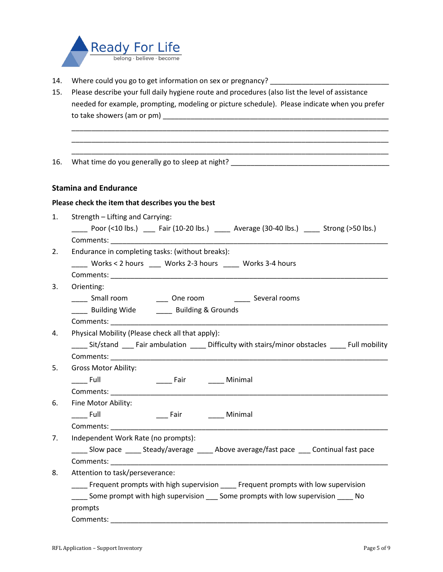

- 14. Where could you go to get information on sex or pregnancy? \_\_\_\_\_\_\_\_\_\_\_\_\_\_\_\_\_
- 15. Please describe your full daily hygiene route and procedures (also list the level of assistance needed for example, prompting, modeling or picture schedule). Please indicate when you prefer to take showers (am or pm)

\_\_\_\_\_\_\_\_\_\_\_\_\_\_\_\_\_\_\_\_\_\_\_\_\_\_\_\_\_\_\_\_\_\_\_\_\_\_\_\_\_\_\_\_\_\_\_\_\_\_\_\_\_\_\_\_\_\_\_\_\_\_\_\_\_\_\_\_\_\_\_\_\_\_\_\_\_\_\_\_ \_\_\_\_\_\_\_\_\_\_\_\_\_\_\_\_\_\_\_\_\_\_\_\_\_\_\_\_\_\_\_\_\_\_\_\_\_\_\_\_\_\_\_\_\_\_\_\_\_\_\_\_\_\_\_\_\_\_\_\_\_\_\_\_\_\_\_\_\_\_\_\_\_\_\_\_\_\_\_\_ \_\_\_\_\_\_\_\_\_\_\_\_\_\_\_\_\_\_\_\_\_\_\_\_\_\_\_\_\_\_\_\_\_\_\_\_\_\_\_\_\_\_\_\_\_\_\_\_\_\_\_\_\_\_\_\_\_\_\_\_\_\_\_\_\_\_\_\_\_\_\_\_\_\_\_\_\_\_\_\_

16. What time do you generally go to sleep at night? \_\_\_\_\_\_\_\_\_\_\_\_\_\_\_\_\_\_\_\_\_\_\_\_\_\_\_\_

## **Stamina and Endurance**

### **Please check the item that describes you the best**

| 1. | Strength - Lifting and Carrying:                                                                                              |  |  |
|----|-------------------------------------------------------------------------------------------------------------------------------|--|--|
|    | Poor $($ <10 lbs.) $\qquad$ Fair $(10-20 \text{ lbs.})$ $\qquad$ Average $(30-40 \text{ lbs.})$ $\qquad$ Strong $($ >50 lbs.) |  |  |
|    |                                                                                                                               |  |  |
| 2. | Endurance in completing tasks: (without breaks):                                                                              |  |  |
|    | ____ Works < 2 hours ____ Works 2-3 hours ____ Works 3-4 hours                                                                |  |  |
|    |                                                                                                                               |  |  |
| 3. | Orienting:                                                                                                                    |  |  |
|    | _____ Small room ________ One room ________ Several rooms                                                                     |  |  |
|    | ____ Building Wide _____ Building & Grounds                                                                                   |  |  |
|    |                                                                                                                               |  |  |
| 4. | Physical Mobility (Please check all that apply):                                                                              |  |  |
|    | ____ Sit/stand ___ Fair ambulation ____ Difficulty with stairs/minor obstacles ____ Full mobility                             |  |  |
|    |                                                                                                                               |  |  |
| 5. | <b>Gross Motor Ability:</b>                                                                                                   |  |  |
|    | ______ Fair _________ Minimal<br><b>Example 1</b>                                                                             |  |  |
|    |                                                                                                                               |  |  |
| 6. | Fine Motor Ability:                                                                                                           |  |  |
|    | _____ Fair _________ Minimal<br>$\rule{1em}{0.15mm}$ Full                                                                     |  |  |
|    |                                                                                                                               |  |  |
| 7. | Independent Work Rate (no prompts):                                                                                           |  |  |
|    | _____ Slow pace ______ Steady/average _____ Above average/fast pace ____ Continual fast pace                                  |  |  |
|    |                                                                                                                               |  |  |
| 8. | Attention to task/perseverance:                                                                                               |  |  |
|    | Frequent prompts with high supervision Frequent prompts with low supervision                                                  |  |  |
|    | Some prompt with high supervision _____ Some prompts with low supervision ______ No                                           |  |  |
|    | prompts                                                                                                                       |  |  |
|    | Comments: ____________                                                                                                        |  |  |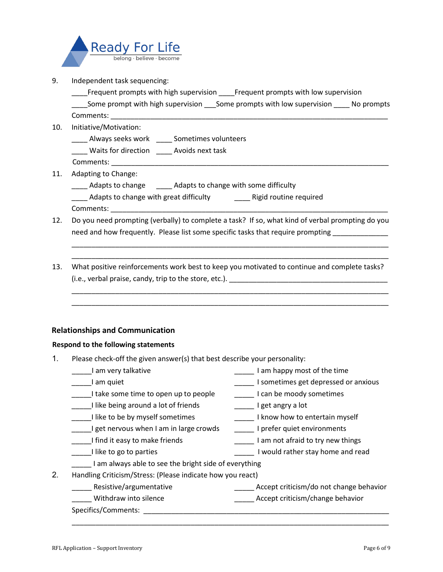

- 9. Independent task sequencing:
	- Frequent prompts with high supervision Frequent prompts with low supervision
	- Some prompt with high supervision Some prompts with low supervision No prompts Comments:
- 10. Initiative/Motivation:
	- \_\_\_\_ Always seeks work \_\_\_\_ Sometimes volunteers
	- \_\_\_\_ Waits for direction \_\_\_\_ Avoids next task
	- Comments:
- 11. Adapting to Change:
	- \_\_\_\_ Adapts to change \_\_\_\_\_ Adapts to change with some difficulty
	- \_\_\_\_ Adapts to change with great difficulty \_\_\_\_\_\_\_\_ Rigid routine required Comments:
- 12. Do you need prompting (verbally) to complete a task? If so, what kind of verbal prompting do you need and how frequently. Please list some specific tasks that require prompting \_\_\_\_\_\_\_\_\_\_\_\_\_\_

\_\_\_\_\_\_\_\_\_\_\_\_\_\_\_\_\_\_\_\_\_\_\_\_\_\_\_\_\_\_\_\_\_\_\_\_\_\_\_\_\_\_\_\_\_\_\_\_\_\_\_\_\_\_\_\_\_\_\_\_\_\_\_\_\_\_\_\_\_\_\_\_\_\_\_\_\_\_\_\_ \_\_\_\_\_\_\_\_\_\_\_\_\_\_\_\_\_\_\_\_\_\_\_\_\_\_\_\_\_\_\_\_\_\_\_\_\_\_\_\_\_\_\_\_\_\_\_\_\_\_\_\_\_\_\_\_\_\_\_\_\_\_\_\_\_\_\_\_\_\_\_\_\_\_\_\_\_\_\_\_

\_\_\_\_\_\_\_\_\_\_\_\_\_\_\_\_\_\_\_\_\_\_\_\_\_\_\_\_\_\_\_\_\_\_\_\_\_\_\_\_\_\_\_\_\_\_\_\_\_\_\_\_\_\_\_\_\_\_\_\_\_\_\_\_\_\_\_\_\_\_\_\_\_\_\_\_\_\_\_\_ \_\_\_\_\_\_\_\_\_\_\_\_\_\_\_\_\_\_\_\_\_\_\_\_\_\_\_\_\_\_\_\_\_\_\_\_\_\_\_\_\_\_\_\_\_\_\_\_\_\_\_\_\_\_\_\_\_\_\_\_\_\_\_\_\_\_\_\_\_\_\_\_\_\_\_\_\_\_\_\_

13. What positive reinforcements work best to keep you motivated to continue and complete tasks? (i.e., verbal praise, candy, trip to the store, etc.). **Example 20** and the store of the store of the store of the store of the store of the store of the store of the store of the store of the store of the store of the sto

## **Relationships and Communication**

## **Respond to the following statements**

- 1. Please check-off the given answer(s) that best describe your personality:
- Lam very talkative the same container that the set of the time of the time of the time Lam quiet **Example 20** am quiet  $\frac{1}{2}$  I sometimes get depressed or anxious I take some time to open up to people I can be moody sometimes I like being around a lot of friends The Latitude Latitude 1 get angry a lot Lattime to be by myself sometimes Torrow Local I know how to entertain myself LI get nervous when I am in large crowds LI prefer quiet environments Lam not afraid to try new things and it easy to make friends and the summary  $\frac{1}{2}$  am not afraid to try new things LII like to go to parties The Controller Lines Could rather stay home and read \_\_\_\_\_ I am always able to see the bright side of everything 2. Handling Criticism/Stress: (Please indicate how you react) \_\_\_\_\_ Resistive/argumentative \_\_\_\_\_ Accept criticism/do not change behavior \_\_\_\_\_ Withdraw into silence \_\_\_\_\_ Accept criticism/change behavior Specifics/Comments: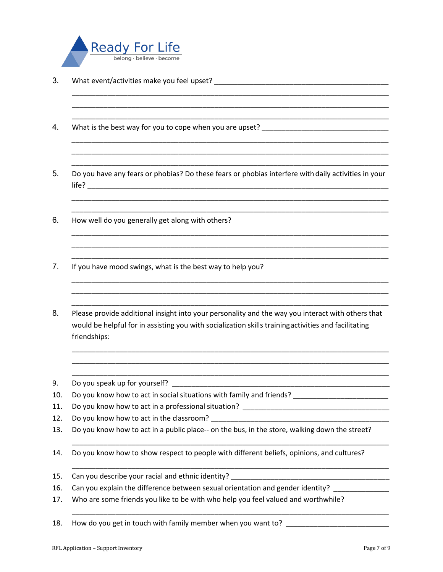

- 3. What event/activities make you feel upset? \_\_\_\_\_\_\_\_\_\_\_\_\_\_\_\_\_\_\_\_\_\_\_\_\_\_\_\_\_\_\_\_\_\_
- 4. What is the best way for you to cope when you are upset? \_\_\_\_\_\_\_\_\_\_\_\_\_\_\_\_\_\_\_\_
- 5. Do you have any fears or phobias? Do these fears or phobias interfere with daily activities in your life? \_\_\_\_\_\_\_\_\_\_\_\_\_\_\_\_\_\_\_\_\_\_\_\_\_\_\_\_\_\_\_\_\_\_\_\_\_\_\_\_\_\_\_\_\_\_\_\_\_\_\_\_\_\_\_\_\_\_\_\_\_\_\_\_\_\_\_\_\_\_\_\_\_\_\_\_

\_\_\_\_\_\_\_\_\_\_\_\_\_\_\_\_\_\_\_\_\_\_\_\_\_\_\_\_\_\_\_\_\_\_\_\_\_\_\_\_\_\_\_\_\_\_\_\_\_\_\_\_\_\_\_\_\_\_\_\_\_\_\_\_\_\_\_\_\_\_\_\_\_\_\_\_\_\_\_\_ \_\_\_\_\_\_\_\_\_\_\_\_\_\_\_\_\_\_\_\_\_\_\_\_\_\_\_\_\_\_\_\_\_\_\_\_\_\_\_\_\_\_\_\_\_\_\_\_\_\_\_\_\_\_\_\_\_\_\_\_\_\_\_\_\_\_\_\_\_\_\_\_\_\_\_\_\_\_\_\_ \_\_\_\_\_\_\_\_\_\_\_\_\_\_\_\_\_\_\_\_\_\_\_\_\_\_\_\_\_\_\_\_\_\_\_\_\_\_\_\_\_\_\_\_\_\_\_\_\_\_\_\_\_\_\_\_\_\_\_\_\_\_\_\_\_\_\_\_\_\_\_\_\_\_\_\_\_\_\_\_

\_\_\_\_\_\_\_\_\_\_\_\_\_\_\_\_\_\_\_\_\_\_\_\_\_\_\_\_\_\_\_\_\_\_\_\_\_\_\_\_\_\_\_\_\_\_\_\_\_\_\_\_\_\_\_\_\_\_\_\_\_\_\_\_\_\_\_\_\_\_\_\_\_\_\_\_\_\_\_\_ \_\_\_\_\_\_\_\_\_\_\_\_\_\_\_\_\_\_\_\_\_\_\_\_\_\_\_\_\_\_\_\_\_\_\_\_\_\_\_\_\_\_\_\_\_\_\_\_\_\_\_\_\_\_\_\_\_\_\_\_\_\_\_\_\_\_\_\_\_\_\_\_\_\_\_\_\_\_\_\_ \_\_\_\_\_\_\_\_\_\_\_\_\_\_\_\_\_\_\_\_\_\_\_\_\_\_\_\_\_\_\_\_\_\_\_\_\_\_\_\_\_\_\_\_\_\_\_\_\_\_\_\_\_\_\_\_\_\_\_\_\_\_\_\_\_\_\_\_\_\_\_\_\_\_\_\_\_\_\_\_

\_\_\_\_\_\_\_\_\_\_\_\_\_\_\_\_\_\_\_\_\_\_\_\_\_\_\_\_\_\_\_\_\_\_\_\_\_\_\_\_\_\_\_\_\_\_\_\_\_\_\_\_\_\_\_\_\_\_\_\_\_\_\_\_\_\_\_\_\_\_\_\_\_\_\_\_\_\_\_\_ \_\_\_\_\_\_\_\_\_\_\_\_\_\_\_\_\_\_\_\_\_\_\_\_\_\_\_\_\_\_\_\_\_\_\_\_\_\_\_\_\_\_\_\_\_\_\_\_\_\_\_\_\_\_\_\_\_\_\_\_\_\_\_\_\_\_\_\_\_\_\_\_\_\_\_\_\_\_\_\_

\_\_\_\_\_\_\_\_\_\_\_\_\_\_\_\_\_\_\_\_\_\_\_\_\_\_\_\_\_\_\_\_\_\_\_\_\_\_\_\_\_\_\_\_\_\_\_\_\_\_\_\_\_\_\_\_\_\_\_\_\_\_\_\_\_\_\_\_\_\_\_\_\_\_\_\_\_\_\_\_ \_\_\_\_\_\_\_\_\_\_\_\_\_\_\_\_\_\_\_\_\_\_\_\_\_\_\_\_\_\_\_\_\_\_\_\_\_\_\_\_\_\_\_\_\_\_\_\_\_\_\_\_\_\_\_\_\_\_\_\_\_\_\_\_\_\_\_\_\_\_\_\_\_\_\_\_\_\_\_\_ \_\_\_\_\_\_\_\_\_\_\_\_\_\_\_\_\_\_\_\_\_\_\_\_\_\_\_\_\_\_\_\_\_\_\_\_\_\_\_\_\_\_\_\_\_\_\_\_\_\_\_\_\_\_\_\_\_\_\_\_\_\_\_\_\_\_\_\_\_\_\_\_\_\_\_\_\_\_\_\_

\_\_\_\_\_\_\_\_\_\_\_\_\_\_\_\_\_\_\_\_\_\_\_\_\_\_\_\_\_\_\_\_\_\_\_\_\_\_\_\_\_\_\_\_\_\_\_\_\_\_\_\_\_\_\_\_\_\_\_\_\_\_\_\_\_\_\_\_\_\_\_\_\_\_\_\_\_\_\_\_ \_\_\_\_\_\_\_\_\_\_\_\_\_\_\_\_\_\_\_\_\_\_\_\_\_\_\_\_\_\_\_\_\_\_\_\_\_\_\_\_\_\_\_\_\_\_\_\_\_\_\_\_\_\_\_\_\_\_\_\_\_\_\_\_\_\_\_\_\_\_\_\_\_\_\_\_\_\_\_\_ \_\_\_\_\_\_\_\_\_\_\_\_\_\_\_\_\_\_\_\_\_\_\_\_\_\_\_\_\_\_\_\_\_\_\_\_\_\_\_\_\_\_\_\_\_\_\_\_\_\_\_\_\_\_\_\_\_\_\_\_\_\_\_\_\_\_\_\_\_\_\_\_\_\_\_\_\_\_\_\_

\_\_\_\_\_\_\_\_\_\_\_\_\_\_\_\_\_\_\_\_\_\_\_\_\_\_\_\_\_\_\_\_\_\_\_\_\_\_\_\_\_\_\_\_\_\_\_\_\_\_\_\_\_\_\_\_\_\_\_\_\_\_\_\_\_\_\_\_\_\_\_\_\_\_\_\_\_\_\_\_ \_\_\_\_\_\_\_\_\_\_\_\_\_\_\_\_\_\_\_\_\_\_\_\_\_\_\_\_\_\_\_\_\_\_\_\_\_\_\_\_\_\_\_\_\_\_\_\_\_\_\_\_\_\_\_\_\_\_\_\_\_\_\_\_\_\_\_\_\_\_\_\_\_\_\_\_\_\_\_\_ \_\_\_\_\_\_\_\_\_\_\_\_\_\_\_\_\_\_\_\_\_\_\_\_\_\_\_\_\_\_\_\_\_\_\_\_\_\_\_\_\_\_\_\_\_\_\_\_\_\_\_\_\_\_\_\_\_\_\_\_\_\_\_\_\_\_\_\_\_\_\_\_\_\_\_\_\_\_\_\_

\_\_\_\_\_\_\_\_\_\_\_\_\_\_\_\_\_\_\_\_\_\_\_\_\_\_\_\_\_\_\_\_\_\_\_\_\_\_\_\_\_\_\_\_\_\_\_\_\_\_\_\_\_\_\_\_\_\_\_\_\_\_\_\_\_\_\_\_\_\_\_\_\_\_\_\_\_\_\_\_

\_\_\_\_\_\_\_\_\_\_\_\_\_\_\_\_\_\_\_\_\_\_\_\_\_\_\_\_\_\_\_\_\_\_\_\_\_\_\_\_\_\_\_\_\_\_\_\_\_\_\_\_\_\_\_\_\_\_\_\_\_\_\_\_\_\_\_\_\_\_\_\_\_\_\_\_\_\_\_\_

- 6. How well do you generally get along with others?
- 7. If you have mood swings, what is the best way to help you?
- 8. Please provide additional insight into your personality and the way you interact with others that would be helpful for in assisting you with socialization skills trainingactivities and facilitating friendships:
- 9. Do you speak up for yourself?
- 10. Do you know how to act in social situations with family and friends? \_\_\_\_\_\_\_\_\_\_\_\_\_\_\_\_\_\_\_\_\_\_\_\_\_\_
- 11. Do you know how to act in a professional situation?
- 12. Do you know how to act in the classroom?
- 13. Do you know how to act in a public place-- on the bus, in the store, walking down the street?
- 14. Do you know how to show respect to people with different beliefs, opinions, and cultures?
- 15. Can you describe your racial and ethnic identity?
- 16. Can you explain the difference between sexual orientation and gender identity? \_\_\_\_\_\_\_\_\_\_\_\_
- 17. Who are some friends you like to be with who help you feel valued and worthwhile?
- 18. How do you get in touch with family member when you want to?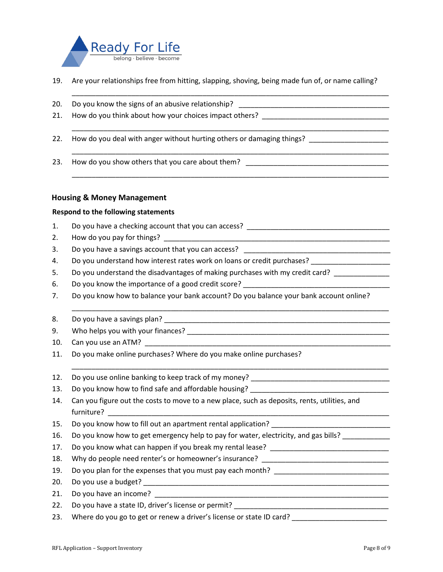

19. Are your relationships free from hitting, slapping, shoving, being made fun of, or name calling?

\_\_\_\_\_\_\_\_\_\_\_\_\_\_\_\_\_\_\_\_\_\_\_\_\_\_\_\_\_\_\_\_\_\_\_\_\_\_\_\_\_\_\_\_\_\_\_\_\_\_\_\_\_\_\_\_\_\_\_\_\_\_\_\_\_\_\_\_\_\_\_\_\_\_\_\_\_\_\_\_

\_\_\_\_\_\_\_\_\_\_\_\_\_\_\_\_\_\_\_\_\_\_\_\_\_\_\_\_\_\_\_\_\_\_\_\_\_\_\_\_\_\_\_\_\_\_\_\_\_\_\_\_\_\_\_\_\_\_\_\_\_\_\_\_\_\_\_\_\_\_\_\_\_\_\_\_\_\_\_\_

\_\_\_\_\_\_\_\_\_\_\_\_\_\_\_\_\_\_\_\_\_\_\_\_\_\_\_\_\_\_\_\_\_\_\_\_\_\_\_\_\_\_\_\_\_\_\_\_\_\_\_\_\_\_\_\_\_\_\_\_\_\_\_\_\_\_\_\_\_\_\_\_\_\_\_\_\_\_\_\_

\_\_\_\_\_\_\_\_\_\_\_\_\_\_\_\_\_\_\_\_\_\_\_\_\_\_\_\_\_\_\_\_\_\_\_\_\_\_\_\_\_\_\_\_\_\_\_\_\_\_\_\_\_\_\_\_\_\_\_\_\_\_\_\_\_\_\_\_\_\_\_\_\_\_\_\_\_\_\_\_

- 20. Do you know the signs of an abusive relationship? \_\_\_\_\_\_\_
- 21. How do you think about how your choices impact others?
- 22. How do you deal with anger without hurting others or damaging things? \_\_\_\_\_\_\_\_\_\_\_\_\_\_\_\_\_\_\_\_
- 23. How do you show others that you care about them?

#### **Housing & Money Management**

#### **Respond to the following statements**

- 1. Do you have a checking account that you can access?
- 2. How do you pay for things?
- 3. Do you have a savings account that you can access?
- 4. Do you understand how interest rates work on loans or credit purchases? \_\_\_\_\_\_\_\_\_\_\_\_\_\_\_\_\_\_\_\_\_\_\_\_
- 5. Do you understand the disadvantages of making purchases with my credit card?
- 6. Do you know the importance of a good credit score?
- 7. Do you know how to balance your bank account? Do you balance your bank account online?

\_\_\_\_\_\_\_\_\_\_\_\_\_\_\_\_\_\_\_\_\_\_\_\_\_\_\_\_\_\_\_\_\_\_\_\_\_\_\_\_\_\_\_\_\_\_\_\_\_\_\_\_\_\_\_\_\_\_\_\_\_\_\_\_\_\_\_\_\_\_\_\_\_\_\_\_\_\_\_\_

- 8. Do you have a savings plan?
- 9. Who helps you with your finances?  $\overline{\phantom{a}}$
- 10. Can you use an ATM?
- 11. Do you make online purchases? Where do you make online purchases?
- 12. Do you use online banking to keep track of my money?
- 13. Do you know how to find safe and affordable housing?
- 14. Can you figure out the costs to move to a new place, such as deposits, rents, utilities, and furniture?
- 15. Do you know how to fill out an apartment rental application?
- 16. Do you know how to get emergency help to pay for water, electricity, and gas bills?
- 17. Do you know what can happen if you break my rental lease?
- 18. Why do people need renter's or homeowner's insurance? \_\_\_\_\_\_\_\_\_\_\_\_\_\_\_\_\_\_\_\_\_\_\_
- 19. Do you plan for the expenses that you must pay each month? \_\_\_\_\_\_\_\_\_\_\_\_\_\_\_\_\_
- 20. Do you use a budget? \_\_\_\_\_\_\_\_\_\_\_\_\_\_\_\_\_\_\_\_\_\_\_\_\_\_\_\_\_\_\_\_\_\_\_\_\_\_\_\_\_\_\_\_\_\_\_\_\_\_\_\_\_\_\_\_\_\_\_\_\_\_
- 21. Do you have an income?
- 22. Do you have a state ID, driver's license or permit?
- 23. Where do you go to get or renew a driver's license or state ID card?